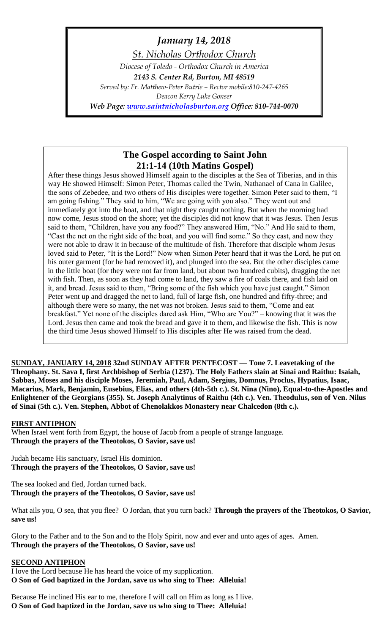# *January 14, 2018*

*St. Nicholas Orthodox Church*

*Diocese of Toledo - Orthodox Church in America 2143 S. Center Rd, Burton, MI 48519 Served by: Fr. Matthew-Peter Butrie – Rector mobile:810-247-4265 Deacon Kerry Luke Gonser Web Page: [www.saintnicholasburton.org](http://www.saintnicholasburton.org/) Office: 810-744-0070*

# **The Gospel according to Saint John 21:1-14 (10th Matins Gospel)**

After these things Jesus showed Himself again to the disciples at the Sea of Tiberias, and in this way He showed Himself: Simon Peter, Thomas called the Twin, Nathanael of Cana in Galilee, the sons of Zebedee, and two others of His disciples were together. Simon Peter said to them, "I am going fishing." They said to him, "We are going with you also." They went out and immediately got into the boat, and that night they caught nothing. But when the morning had now come, Jesus stood on the shore; yet the disciples did not know that it was Jesus. Then Jesus said to them, "Children, have you any food?" They answered Him, "No." And He said to them, "Cast the net on the right side of the boat, and you will find some." So they cast, and now they were not able to draw it in because of the multitude of fish. Therefore that disciple whom Jesus loved said to Peter, "It is the Lord!" Now when Simon Peter heard that it was the Lord, he put on his outer garment (for he had removed it), and plunged into the sea. But the other disciples came in the little boat (for they were not far from land, but about two hundred cubits), dragging the net with fish. Then, as soon as they had come to land, they saw a fire of coals there, and fish laid on it, and bread. Jesus said to them, "Bring some of the fish which you have just caught." Simon Peter went up and dragged the net to land, full of large fish, one hundred and fifty-three; and although there were so many, the net was not broken. Jesus said to them, "Come and eat breakfast." Yet none of the disciples dared ask Him, "Who are You?" – knowing that it was the Lord. Jesus then came and took the bread and gave it to them, and likewise the fish. This is now the third time Jesus showed Himself to His disciples after He was raised from the dead.

**SUNDAY, JANUARY 14, 2018 32nd SUNDAY AFTER PENTECOST — Tone 7. Leavetaking of the Theophany. St. Sava I, first Archbishop of Serbia (1237). The Holy Fathers slain at Sinai and Raithu: Isaiah, Sabbas, Moses and his disciple Moses, Jeremiah, Paul, Adam, Sergius, Domnus, Proclus, Hypatius, Isaac, Macarius, Mark, Benjamin, Eusebius, Elias, and others (4th-5th c.). St. Nina (Nino), Equal-to-the-Apostles and Enlightener of the Georgians (355). St. Joseph Analytinus of Raithu (4th c.). Ven. Theodulus, son of Ven. Nilus of Sinai (5th c.). Ven. Stephen, Abbot of Chenolakkos Monastery near Chalcedon (8th c.).**

#### **FIRST ANTIPHON**

When Israel went forth from Egypt, the house of Jacob from a people of strange language. **Through the prayers of the Theotokos, O Savior, save us!**

Judah became His sanctuary, Israel His dominion. **Through the prayers of the Theotokos, O Savior, save us!**

The sea looked and fled, Jordan turned back. **Through the prayers of the Theotokos, O Savior, save us!**

What ails you, O sea, that you flee? O Jordan, that you turn back? **Through the prayers of the Theotokos, O Savior, save us!**

Glory to the Father and to the Son and to the Holy Spirit, now and ever and unto ages of ages. Amen. **Through the prayers of the Theotokos, O Savior, save us!**

#### **SECOND ANTIPHON**

I love the Lord because He has heard the voice of my supplication. **O Son of God baptized in the Jordan, save us who sing to Thee: Alleluia!**

Because He inclined His ear to me, therefore I will call on Him as long as I live. **O Son of God baptized in the Jordan, save us who sing to Thee: Alleluia!**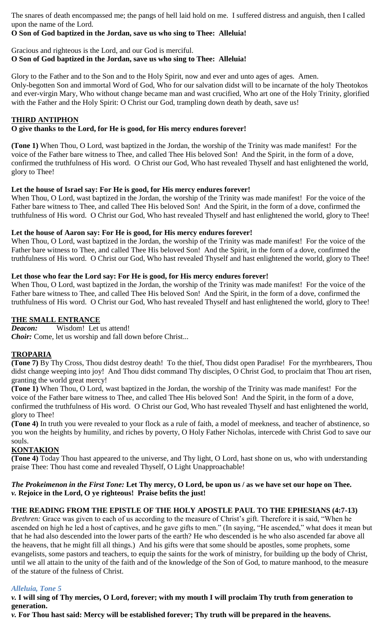The snares of death encompassed me; the pangs of hell laid hold on me. I suffered distress and anguish, then I called upon the name of the Lord.

## **O Son of God baptized in the Jordan, save us who sing to Thee: Alleluia!**

Gracious and righteous is the Lord, and our God is merciful.

**O Son of God baptized in the Jordan, save us who sing to Thee: Alleluia!**

Glory to the Father and to the Son and to the Holy Spirit, now and ever and unto ages of ages. Amen.

Only-begotten Son and immortal Word of God, Who for our salvation didst will to be incarnate of the holy Theotokos and ever-virgin Mary, Who without change became man and wast crucified, Who art one of the Holy Trinity, glorified with the Father and the Holy Spirit: O Christ our God, trampling down death by death, save us!

## **THIRD ANTIPHON**

#### **O give thanks to the Lord, for He is good, for His mercy endures forever!**

**(Tone 1)** When Thou, O Lord, wast baptized in the Jordan, the worship of the Trinity was made manifest! For the voice of the Father bare witness to Thee, and called Thee His beloved Son! And the Spirit, in the form of a dove, confirmed the truthfulness of His word. O Christ our God, Who hast revealed Thyself and hast enlightened the world, glory to Thee!

## **Let the house of Israel say: For He is good, for His mercy endures forever!**

When Thou, O Lord, wast baptized in the Jordan, the worship of the Trinity was made manifest! For the voice of the Father bare witness to Thee, and called Thee His beloved Son! And the Spirit, in the form of a dove, confirmed the truthfulness of His word. O Christ our God, Who hast revealed Thyself and hast enlightened the world, glory to Thee!

## **Let the house of Aaron say: For He is good, for His mercy endures forever!**

When Thou, O Lord, wast baptized in the Jordan, the worship of the Trinity was made manifest! For the voice of the Father bare witness to Thee, and called Thee His beloved Son! And the Spirit, in the form of a dove, confirmed the truthfulness of His word. O Christ our God, Who hast revealed Thyself and hast enlightened the world, glory to Thee!

#### **Let those who fear the Lord say: For He is good, for His mercy endures forever!**

When Thou, O Lord, wast baptized in the Jordan, the worship of the Trinity was made manifest! For the voice of the Father bare witness to Thee, and called Thee His beloved Son! And the Spirit, in the form of a dove, confirmed the truthfulness of His word. O Christ our God, Who hast revealed Thyself and hast enlightened the world, glory to Thee!

## **THE SMALL ENTRANCE**

*Deacon:* Wisdom! Let us attend! *Choir:* Come, let us worship and fall down before Christ...

## **TROPARIA**

**(Tone 7)** By Thy Cross, Thou didst destroy death! To the thief, Thou didst open Paradise! For the myrrhbearers, Thou didst change weeping into joy! And Thou didst command Thy disciples, O Christ God, to proclaim that Thou art risen, granting the world great mercy!

**(Tone 1)** When Thou, O Lord, wast baptized in the Jordan, the worship of the Trinity was made manifest! For the voice of the Father bare witness to Thee, and called Thee His beloved Son! And the Spirit, in the form of a dove, confirmed the truthfulness of His word. O Christ our God, Who hast revealed Thyself and hast enlightened the world, glory to Thee!

**(Tone 4)** In truth you were revealed to your flock as a rule of faith, a model of meekness, and teacher of abstinence, so you won the heights by humility, and riches by poverty, O Holy Father Nicholas, intercede with Christ God to save our souls.

## **KONTAKION**

**(Tone 4)** Today Thou hast appeared to the universe, and Thy light, O Lord, hast shone on us, who with understanding praise Thee: Thou hast come and revealed Thyself, O Light Unapproachable!

#### *The Prokeimenon in the First Tone:* **Let Thy mercy, O Lord, be upon us / as we have set our hope on Thee.** *v.* **Rejoice in the Lord, O ye righteous! Praise befits the just!**

#### **THE READING FROM THE EPISTLE OF THE HOLY APOSTLE PAUL TO THE EPHESIANS (4:7-13)**

*Brethren:* Grace was given to each of us according to the measure of Christ's gift. Therefore it is said, "When he ascended on high he led a host of captives, and he gave gifts to men." (In saying, "He ascended," what does it mean but that he had also descended into the lower parts of the earth? He who descended is he who also ascended far above all the heavens, that he might fill all things.) And his gifts were that some should be apostles, some prophets, some evangelists, some pastors and teachers, to equip the saints for the work of ministry, for building up the body of Christ, until we all attain to the unity of the faith and of the knowledge of the Son of God, to mature manhood, to the measure of the stature of the fulness of Christ.

#### *Alleluia, Tone 5*

*v.* **I will sing of Thy mercies, O Lord, forever; with my mouth I will proclaim Thy truth from generation to generation.**

*v.* **For Thou hast said: Mercy will be established forever; Thy truth will be prepared in the heavens.**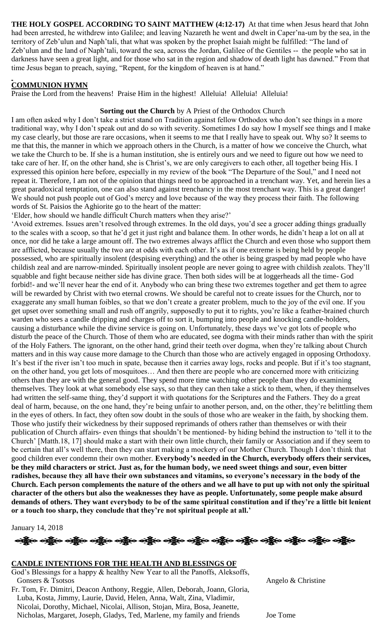**THE HOLY GOSPEL ACCORDING TO SAINT MATTHEW (4:12-17)** At that time when Jesus heard that John had been arrested, he withdrew into Galilee; and leaving Nazareth he went and dwelt in Caper'na-um by the sea, in the territory of Zeb'ulun and Naph'tali, that what was spoken by the prophet Isaiah might be fulfilled: "The land of Zeb'ulun and the land of Naph'tali, toward the sea, across the Jordan, Galilee of the Gentiles -- the people who sat in darkness have seen a great light, and for those who sat in the region and shadow of death light has dawned." From that time Jesus began to preach, saying, "Repent, for the kingdom of heaven is at hand."

#### **COMMUNION HYMN**

Praise the Lord from the heavens! Praise Him in the highest! Alleluia! Alleluia! Alleluia!

#### **Sorting out the Church** by A Priest of the Orthodox Church

I am often asked why I don't take a strict stand on Tradition against fellow Orthodox who don't see things in a more traditional way, why I don't speak out and do so with severity. Sometimes I do say how I myself see things and I make my case clearly, but those are rare occasions, when it seems to me that I really have to speak out. Why so? It seems to me that this, the manner in which we approach others in the Church, is a matter of how we conceive the Church, what we take the Church to be. If she is a human institution, she is entirely ours and we need to figure out how we need to take care of her. If, on the other hand, she is Christ's, we are only caregivers to each other, all together being His. I expressed this opinion here before, especially in my review of the book "The Departure of the Soul," and I need not repeat it. Therefore, I am not of the opinion that things need to be approached in a trenchant way. Yet, and herein lies a great paradoxical temptation, one can also stand against trenchancy in the most trenchant way. This is a great danger! We should not push people out of God's mercy and love because of the way they process their faith. The following words of St. Paisios the Aghiorite go to the heart of the matter:

'Elder, how should we handle difficult Church matters when they arise?'

'Avoid extremes. Issues aren't resolved through extremes. In the old days, you'd see a grocer adding things gradually to the scales with a scoop, so that he'd get it just right and balance them. In other words, he didn't heap a lot on all at once, nor did he take a large amount off. The two extremes always afflict the Church and even those who support them are afflicted, because usually the two are at odds with each other. It's as if one extreme is being held by people possessed, who are spiritually insolent (despising everything) and the other is being grasped by mad people who have childish zeal and are narrow-minded. Spiritually insolent people are never going to agree with childish zealots. They'll squabble and fight because neither side has divine grace. Then both sides will be at loggerheads all the time- God forbid!- and we'll never hear the end of it. Anybody who can bring these two extremes together and get them to agree will be rewarded by Christ with two eternal crowns. We should be careful not to create issues for the Church, nor to exaggerate any small human foibles, so that we don't create a greater problem, much to the joy of the evil one. If you get upset over something small and rush off angrily, supposedly to put it to rights, you're like a feather-brained church warden who sees a candle dripping and charges off to sort it, bumping into people and knocking candle-holders, causing a disturbance while the divine service is going on. Unfortunately, these days we've got lots of people who disturb the peace of the Church. Those of them who are educated, see dogma with their minds rather than with the spirit of the Holy Fathers. The ignorant, on the other hand, grind their teeth over dogma, when they're talking about Church matters and in this way cause more damage to the Church than those who are actively engaged in opposing Orthodoxy. It's best if the river isn't too much in spate, because then it carries away logs, rocks and people. But if it's too stagnant, on the other hand, you get lots of mosquitoes… And then there are people who are concerned more with criticizing others than they are with the general good. They spend more time watching other people than they do examining themselves. They look at what somebody else says, so that they can then take a stick to them, when, if they themselves had written the self-same thing, they'd support it with quotations for the Scriptures and the Fathers. They do a great deal of harm, because, on the one hand, they're being unfair to another person, and, on the other, they're belittling them in the eyes of others. In fact, they often sow doubt in the souls of those who are weaker in the faith, by shocking them. Those who justify their wickedness by their supposed reprimands of others rather than themselves or with their publication of Church affairs- even things that shouldn't be mentioned- by hiding behind the instruction to 'tell it to the Church' [Matth.18, 17] should make a start with their own little church, their family or Association and if they seem to be certain that all's well there, then they can start making a mockery of our Mother Church. Though I don't think that good children ever condemn their own mother. **Everybody's needed in the Church, everybody offers their services, be they mild characters or strict. Just as, for the human body, we need sweet things and sour, even bitter radishes, because they all have their own substances and vitamins, so everyone's necessary in the body of the Church. Each person complements the nature of the others and we all have to put up with not only the spiritual character of the others but also the weaknesses they have as people. Unfortunately, some people make absurd demands of others. They want everybody to be of the same spiritual constitution and if they're a little bit lenient or a touch too sharp, they conclude that they're not spiritual people at all.'**

January 14, 2018



#### **CANDLE INTENTIONS FOR THE HEALTH AND BLESSINGS OF**

God's Blessings for a happy & healthy New Year to all the Panoffs, Aleksoffs, Gonsers & Tsotsos Angelo & Christine

Fr. Tom, Fr. Dimitri, Deacon Anthony, Reggie, Allen, Deborah, Joann, Gloria, Luba, Kosta, Jimmy, Laurie, David, Helen, Anna, Walt, Zina, Vladimir, Nicolai, Dorothy, Michael, Nicolai, Allison, Stojan, Mira, Bosa, Jeanette, Nicholas, Margaret, Joseph, Gladys, Ted, Marlene, my family and friends Joe Tome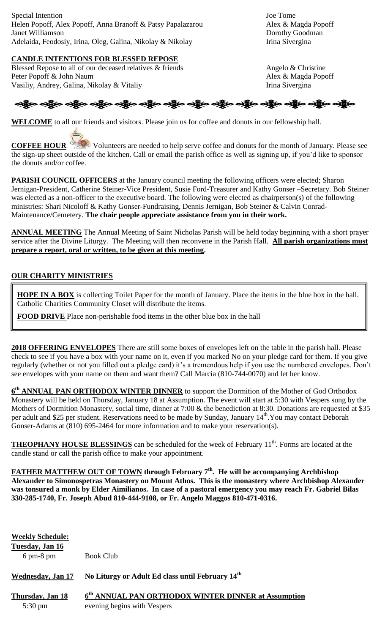Special Intention Joe Tome Helen Popoff, Alex Popoff, Anna Branoff & Patsy Papalazarou Alex & Magda Popoff Janet Williamson Dorothy Goodman Adelaida, Feodosiy, Irina, Oleg, Galina, Nikolay & Nikolay Irina Sivergina

#### **CANDLE INTENTIONS FOR BLESSED REPOSE**

Blessed Repose to all of our deceased relatives & friends Angelo & Christine Peter Popoff & John Naum Alex & Magda Popoff Vasiliy, Andrey, Galina, Nikolay & Vitaliy Irina Sivergina



**WELCOME** to all our friends and visitors. Please join us for coffee and donuts in our fellowship hall.

**COFFEE HOUR** Volunteers are needed to help serve coffee and donuts for the month of January. Please see the sign-up sheet outside of the kitchen. Call or email the parish office as well as signing up, if you'd like to sponsor the donuts and/or coffee.

**PARISH COUNCIL OFFICERS** at the January council meeting the following officers were elected; Sharon Jernigan-President, Catherine Steiner-Vice President, Susie Ford-Treasurer and Kathy Gonser –Secretary. Bob Steiner was elected as a non-officer to the executive board. The following were elected as chairperson(s) of the following ministries: Shari Nicoloff & Kathy Gonser-Fundraising, Dennis Jernigan, Bob Steiner & Calvin Conrad-Maintenance/Cemetery. **The chair people appreciate assistance from you in their work.**

**ANNUAL MEETING** The Annual Meeting of Saint Nicholas Parish will be held today beginning with a short prayer service after the Divine Liturgy. The Meeting will then reconvene in the Parish Hall. **All parish organizations must prepare a report, oral or written, to be given at this meeting.**

## **OUR CHARITY MINISTRIES**

**HOPE IN A BOX** is collecting Toilet Paper for the month of January. Place the items in the blue box in the hall. Catholic Charities Community Closet will distribute the items.

**FOOD DRIVE** Place non-perishable food items in the other blue box in the hall

**2018 OFFERING ENVELOPES** There are still some boxes of envelopes left on the table in the parish hall. Please check to see if you have a box with your name on it, even if you marked  $N<sub>0</sub>$  on your pledge card for them. If you give regularly (whether or not you filled out a pledge card) it's a tremendous help if you use the numbered envelopes. Don't see envelopes with your name on them and want them? Call Marcia (810-744-0070) and let her know.

**6 th ANNUAL PAN ORTHODOX WINTER DINNER** to support the Dormition of the Mother of God Orthodox Monastery will be held on Thursday, January 18 at Assumption. The event will start at 5:30 with Vespers sung by the Mothers of Dormition Monastery, social time, dinner at 7:00 & the benediction at 8:30. Donations are requested at \$35 per adult and \$25 per student. Reservations need to be made by Sunday, January 14<sup>th</sup>. You may contact Deborah Gonser-Adams at (810) 695-2464 for more information and to make your reservation(s).

**THEOPHANY HOUSE BLESSINGS** can be scheduled for the week of February 11<sup>th</sup>. Forms are located at the candle stand or call the parish office to make your appointment.

**FATHER MATTHEW OUT OF TOWN through February 7th . He will be accompanying Archbishop Alexander to Simonospetras Monastery on Mount Athos. This is the monastery where Archbishop Alexander was tonsured a monk by Elder Aimilianos. In case of a pastoral emergency you may reach Fr. Gabriel Bilas 330-285-1740, Fr. Joseph Abud 810-444-9108, or Fr. Angelo Maggos 810-471-0316.**

| <b>Weekly Schedule:</b>               |                                                                                                |
|---------------------------------------|------------------------------------------------------------------------------------------------|
| Tuesday, Jan 16                       |                                                                                                |
| $6 \text{ pm-}8 \text{ pm}$           | <b>Book Club</b>                                                                               |
| <b>Wednesday</b> , Jan 17             | No Liturgy or Adult Ed class until February 14 <sup>th</sup>                                   |
| Thursday, Jan 18<br>$5:30 \text{ pm}$ | 6 <sup>th</sup> ANNUAL PAN ORTHODOX WINTER DINNER at Assumption<br>evening begins with Vespers |